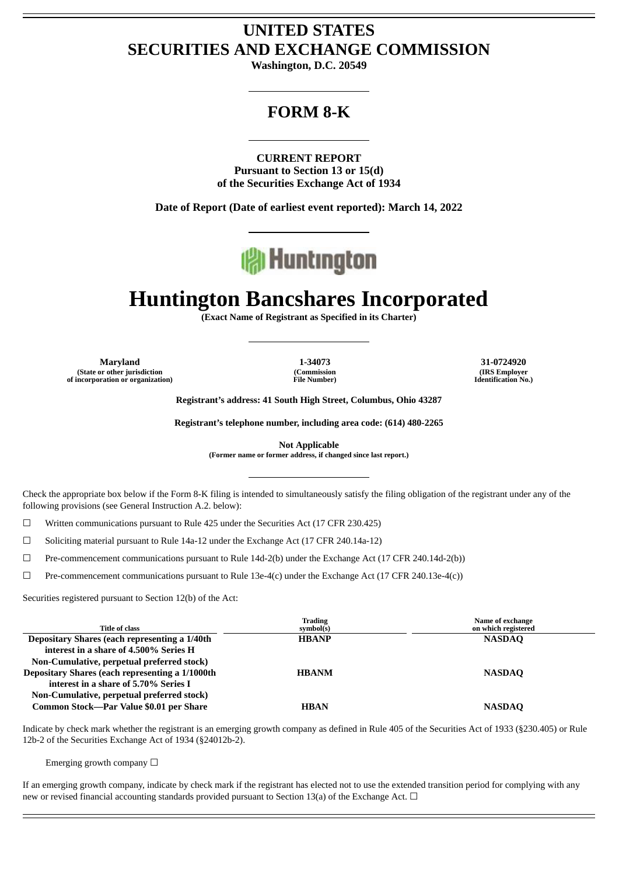# **UNITED STATES SECURITIES AND EXCHANGE COMMISSION**

**Washington, D.C. 20549**

## **FORM 8-K**

**CURRENT REPORT Pursuant to Section 13 or 15(d) of the Securities Exchange Act of 1934**

**Date of Report (Date of earliest event reported): March 14, 2022**



# **Huntington Bancshares Incorporated**

**(Exact Name of Registrant as Specified in its Charter)**

**Maryland 1-34073 31-0724920 (State or other jurisdiction of incorporation or organization)**

**(Commission File Number)**

**(IRS Employer Identification No.)**

**Registrant's address: 41 South High Street, Columbus, Ohio 43287**

**Registrant's telephone number, including area code: (614) 480-2265**

**Not Applicable**

**(Former name or former address, if changed since last report.)**

Check the appropriate box below if the Form 8-K filing is intended to simultaneously satisfy the filing obligation of the registrant under any of the following provisions (see General Instruction A.2. below):

☐ Written communications pursuant to Rule 425 under the Securities Act (17 CFR 230.425)

☐ Soliciting material pursuant to Rule 14a-12 under the Exchange Act (17 CFR 240.14a-12)

☐ Pre-commencement communications pursuant to Rule 14d-2(b) under the Exchange Act (17 CFR 240.14d-2(b))

 $\Box$  Pre-commencement communications pursuant to Rule 13e-4(c) under the Exchange Act (17 CFR 240.13e-4(c))

Securities registered pursuant to Section 12(b) of the Act:

| <b>Title of class</b>                                                                                                                                                                | <b>Trading</b><br>symbol(s) | Name of exchange<br>on which registered |
|--------------------------------------------------------------------------------------------------------------------------------------------------------------------------------------|-----------------------------|-----------------------------------------|
| Depositary Shares (each representing a 1/40th<br>interest in a share of 4.500% Series H                                                                                              | <b>HBANP</b>                | <b>NASDAQ</b>                           |
| Non-Cumulative, perpetual preferred stock)<br>Depositary Shares (each representing a 1/1000th<br>interest in a share of 5.70% Series I<br>Non-Cumulative, perpetual preferred stock) | <b>HBANM</b>                | <b>NASDAO</b>                           |
| Common Stock-Par Value \$0.01 per Share                                                                                                                                              | <b>HBAN</b>                 | <b>NASDAQ</b>                           |

Indicate by check mark whether the registrant is an emerging growth company as defined in Rule 405 of the Securities Act of 1933 (§230.405) or Rule 12b-2 of the Securities Exchange Act of 1934 (§24012b-2).

Emerging growth company  $\Box$ 

If an emerging growth company, indicate by check mark if the registrant has elected not to use the extended transition period for complying with any new or revised financial accounting standards provided pursuant to Section 13(a) of the Exchange Act.  $\Box$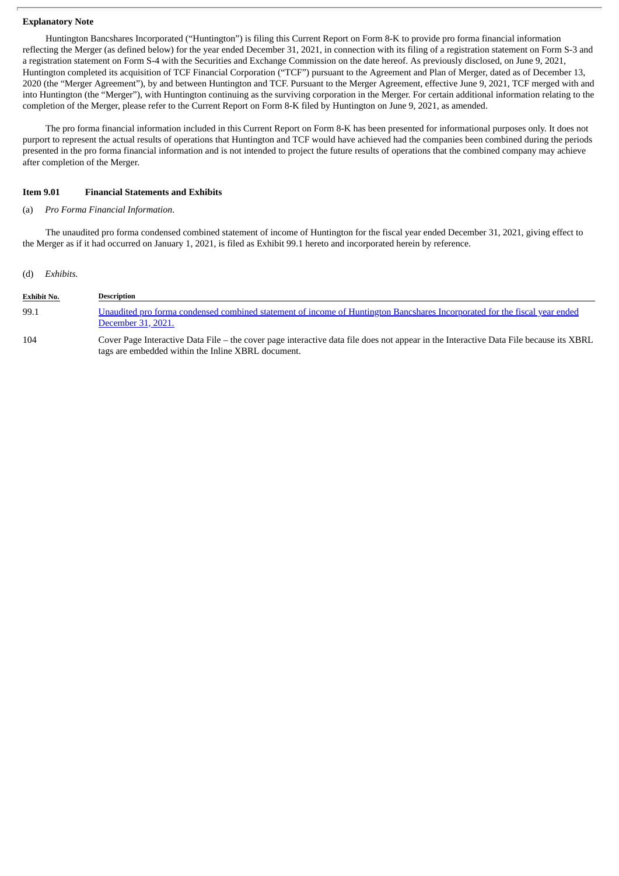## **Explanatory Note**

Huntington Bancshares Incorporated ("Huntington") is filing this Current Report on Form 8-K to provide pro forma financial information reflecting the Merger (as defined below) for the year ended December 31, 2021, in connection with its filing of a registration statement on Form S-3 and a registration statement on Form S-4 with the Securities and Exchange Commission on the date hereof. As previously disclosed, on June 9, 2021, Huntington completed its acquisition of TCF Financial Corporation ("TCF") pursuant to the Agreement and Plan of Merger, dated as of December 13, 2020 (the "Merger Agreement"), by and between Huntington and TCF. Pursuant to the Merger Agreement, effective June 9, 2021, TCF merged with and into Huntington (the "Merger"), with Huntington continuing as the surviving corporation in the Merger. For certain additional information relating to the completion of the Merger, please refer to the Current Report on Form 8-K filed by Huntington on June 9, 2021, as amended.

The pro forma financial information included in this Current Report on Form 8-K has been presented for informational purposes only. It does not purport to represent the actual results of operations that Huntington and TCF would have achieved had the companies been combined during the periods presented in the pro forma financial information and is not intended to project the future results of operations that the combined company may achieve after completion of the Merger.

## **Item 9.01 Financial Statements and Exhibits**

tags are embedded within the Inline XBRL document.

## (a) *Pro Forma Financial Information*.

The unaudited pro forma condensed combined statement of income of Huntington for the fiscal year ended December 31, 2021, giving effect to the Merger as if it had occurred on January 1, 2021, is filed as Exhibit 99.1 hereto and incorporated herein by reference.

### (d) *Exhibits.*

| <b>Exhibit No.</b> | Description                                                                                                                                      |
|--------------------|--------------------------------------------------------------------------------------------------------------------------------------------------|
| 99.1               | Unaudited pro forma condensed combined statement of income of Huntington Bancshares Incorporated for the fiscal year ended<br>December 31, 2021. |
| 104                | Cover Page Interactive Data File – the cover page interactive data file does not appear in the Interactive Data File because its XBRL            |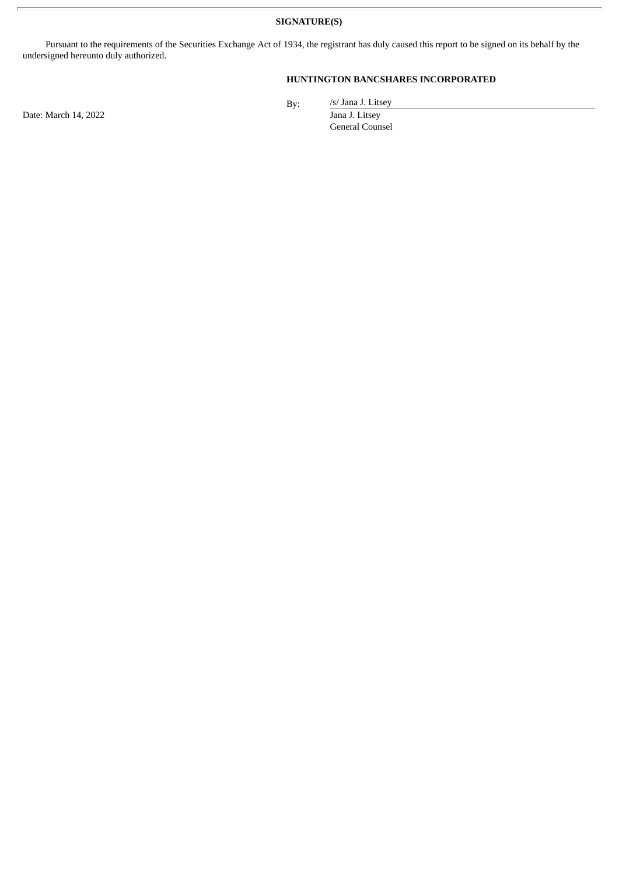**SIGNATURE(S)**

Pursuant to the requirements of the Securities Exchange Act of 1934, the registrant has duly caused this report to be signed on its behalf by the undersigned hereunto duly authorized.

## **HUNTINGTON BANCSHARES INCORPORATED**

Date: March 14, 2022 Jana J. Litsey

By:

/s/ Jana J. Litsey General Counsel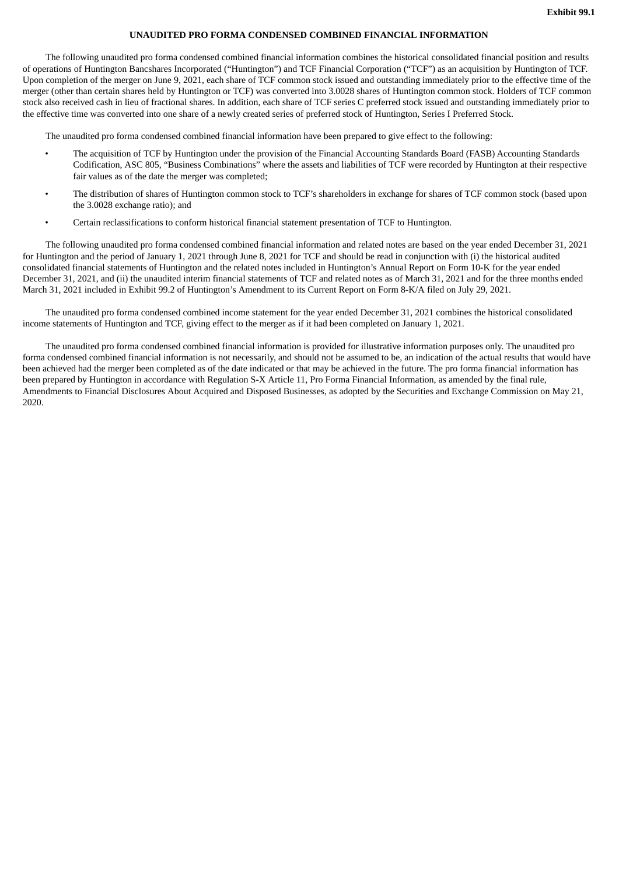## **UNAUDITED PRO FORMA CONDENSED COMBINED FINANCIAL INFORMATION**

<span id="page-3-0"></span>The following unaudited pro forma condensed combined financial information combines the historical consolidated financial position and results of operations of Huntington Bancshares Incorporated ("Huntington") and TCF Financial Corporation ("TCF") as an acquisition by Huntington of TCF. Upon completion of the merger on June 9, 2021, each share of TCF common stock issued and outstanding immediately prior to the effective time of the merger (other than certain shares held by Huntington or TCF) was converted into 3.0028 shares of Huntington common stock. Holders of TCF common stock also received cash in lieu of fractional shares. In addition, each share of TCF series C preferred stock issued and outstanding immediately prior to the effective time was converted into one share of a newly created series of preferred stock of Huntington, Series I Preferred Stock.

The unaudited pro forma condensed combined financial information have been prepared to give effect to the following:

- The acquisition of TCF by Huntington under the provision of the Financial Accounting Standards Board (FASB) Accounting Standards Codification, ASC 805, "Business Combinations" where the assets and liabilities of TCF were recorded by Huntington at their respective fair values as of the date the merger was completed;
- The distribution of shares of Huntington common stock to TCF's shareholders in exchange for shares of TCF common stock (based upon the 3.0028 exchange ratio); and
- Certain reclassifications to conform historical financial statement presentation of TCF to Huntington.

The following unaudited pro forma condensed combined financial information and related notes are based on the year ended December 31, 2021 for Huntington and the period of January 1, 2021 through June 8, 2021 for TCF and should be read in conjunction with (i) the historical audited consolidated financial statements of Huntington and the related notes included in Huntington's Annual Report on Form 10-K for the year ended December 31, 2021, and (ii) the unaudited interim financial statements of TCF and related notes as of March 31, 2021 and for the three months ended March 31, 2021 included in Exhibit 99.2 of Huntington's Amendment to its Current Report on Form 8-K/A filed on July 29, 2021.

The unaudited pro forma condensed combined income statement for the year ended December 31, 2021 combines the historical consolidated income statements of Huntington and TCF, giving effect to the merger as if it had been completed on January 1, 2021.

The unaudited pro forma condensed combined financial information is provided for illustrative information purposes only. The unaudited pro forma condensed combined financial information is not necessarily, and should not be assumed to be, an indication of the actual results that would have been achieved had the merger been completed as of the date indicated or that may be achieved in the future. The pro forma financial information has been prepared by Huntington in accordance with Regulation S-X Article 11, Pro Forma Financial Information, as amended by the final rule, Amendments to Financial Disclosures About Acquired and Disposed Businesses, as adopted by the Securities and Exchange Commission on May 21, 2020.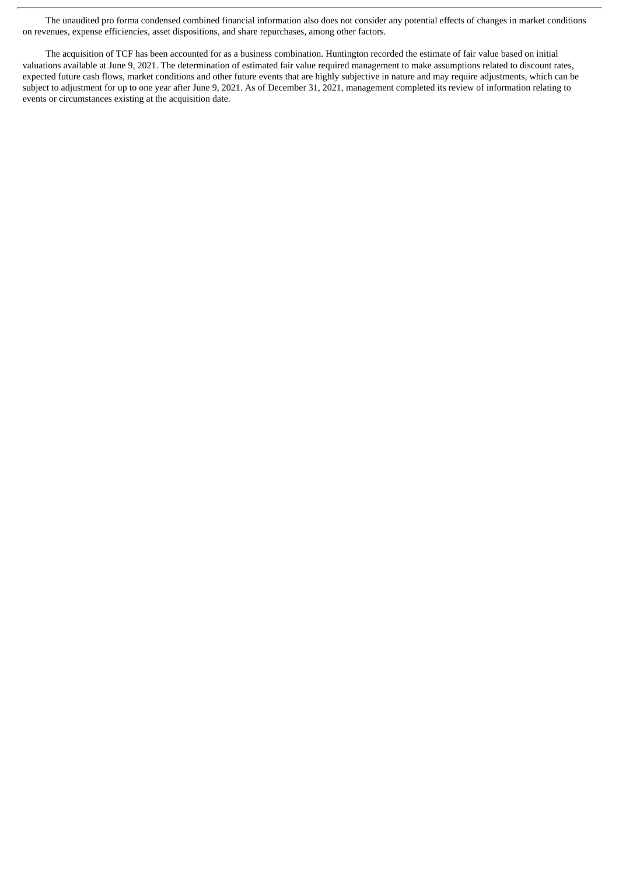The unaudited pro forma condensed combined financial information also does not consider any potential effects of changes in market conditions on revenues, expense efficiencies, asset dispositions, and share repurchases, among other factors.

The acquisition of TCF has been accounted for as a business combination. Huntington recorded the estimate of fair value based on initial valuations available at June 9, 2021. The determination of estimated fair value required management to make assumptions related to discount rates, expected future cash flows, market conditions and other future events that are highly subjective in nature and may require adjustments, which can be subject to adjustment for up to one year after June 9, 2021. As of December 31, 2021, management completed its review of information relating to events or circumstances existing at the acquisition date.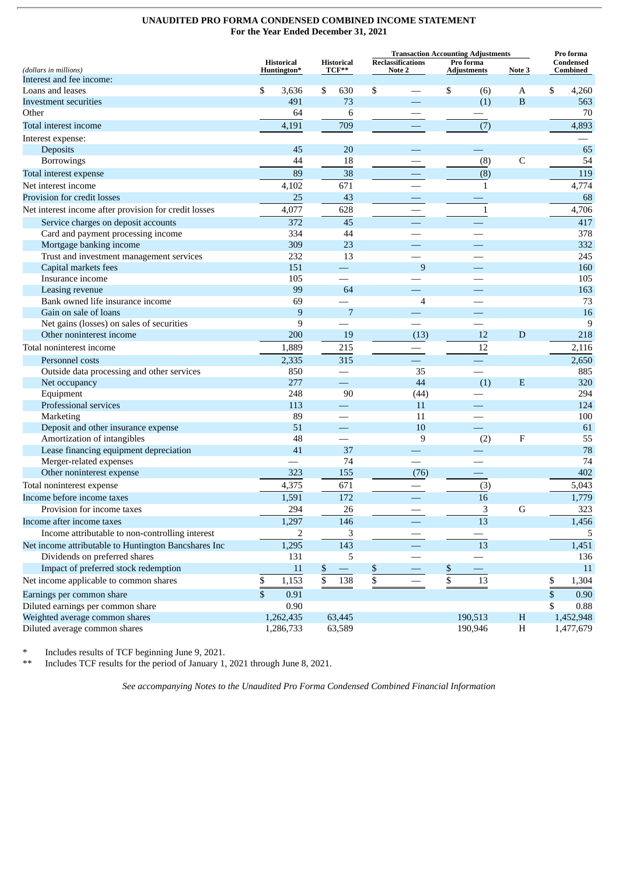## **UNAUDITED PRO FORMA CONDENSED COMBINED INCOME STATEMENT For the Year Ended December 31, 2021**

|                                                       |    |                                  |    |                            |                 | <b>Transaction Accounting Adjustments</b> |    |                                           | Pro forma                 |                       |           |
|-------------------------------------------------------|----|----------------------------------|----|----------------------------|-----------------|-------------------------------------------|----|-------------------------------------------|---------------------------|-----------------------|-----------|
| (dollars in millions)                                 |    | <b>Historical</b><br>Huntington* |    | <b>Historical</b><br>TCF** |                 | <b>Reclassifications</b><br>Note 2        |    | Pro forma<br><b>Adjustments</b><br>Note 3 |                           | Condensed<br>Combined |           |
| Interest and fee income:                              |    |                                  |    |                            |                 |                                           |    |                                           |                           |                       |           |
| Loans and leases                                      | \$ | 3,636                            | \$ | 630                        | \$              |                                           | \$ | (6)                                       | A                         | \$                    | 4,260     |
| Investment securities                                 |    | 491                              |    | 73                         |                 |                                           |    | (1)                                       | $\mathbf B$               |                       | 563       |
| Other                                                 |    | 64                               |    | 6                          |                 |                                           |    |                                           |                           |                       | 70        |
| Total interest income                                 |    | 4,191                            |    | 709                        |                 |                                           |    | (7)                                       |                           |                       | 4,893     |
| Interest expense:                                     |    |                                  |    |                            |                 |                                           |    |                                           |                           |                       |           |
| Deposits                                              |    | 45                               |    | 20                         |                 |                                           |    |                                           |                           |                       | 65        |
| Borrowings                                            |    | 44                               |    | 18                         |                 |                                           |    | (8)                                       | C                         |                       | 54        |
| Total interest expense                                |    | 89                               |    | 38                         |                 |                                           |    | (8)                                       |                           |                       | 119       |
| Net interest income                                   |    | 4,102                            |    | 671                        |                 |                                           |    | $\mathbf 1$                               |                           |                       | 4,774     |
| Provision for credit losses                           |    | 25                               |    | 43                         |                 |                                           |    |                                           |                           |                       | 68        |
| Net interest income after provision for credit losses |    | 4,077                            |    | 628                        |                 |                                           |    | $\mathbf{1}$                              |                           |                       | 4,706     |
| Service charges on deposit accounts                   |    | 372                              |    | 45                         |                 |                                           |    |                                           |                           |                       | 417       |
| Card and payment processing income                    |    | 334                              |    | 44                         |                 |                                           |    |                                           |                           |                       | 378       |
| Mortgage banking income                               |    | 309                              |    | 23                         |                 |                                           |    |                                           |                           |                       | 332       |
| Trust and investment management services              |    | 232                              |    | 13                         |                 |                                           |    |                                           |                           |                       | 245       |
| Capital markets fees                                  |    | 151                              |    |                            |                 | 9                                         |    |                                           |                           |                       | 160       |
| Insurance income                                      |    | 105                              |    |                            |                 |                                           |    |                                           |                           |                       | 105       |
| Leasing revenue                                       |    | 99                               |    | 64                         |                 |                                           |    |                                           |                           |                       | 163       |
| Bank owned life insurance income                      |    | 69                               |    |                            |                 | 4                                         |    |                                           |                           |                       | 73        |
| Gain on sale of loans                                 |    | 9                                |    | 7                          |                 |                                           |    |                                           |                           |                       | 16        |
| Net gains (losses) on sales of securities             |    | $\boldsymbol{9}$                 |    |                            |                 |                                           |    |                                           |                           |                       | 9         |
| Other noninterest income                              |    | 200                              |    | 19                         |                 | (13)                                      |    | 12                                        | D                         |                       | 218       |
| Total noninterest income                              |    | 1,889                            |    | 215                        |                 |                                           |    | 12                                        |                           |                       | 2,116     |
| Personnel costs                                       |    | 2,335                            |    | 315                        |                 |                                           |    |                                           |                           |                       | 2,650     |
| Outside data processing and other services            |    | 850                              |    |                            |                 | 35                                        |    |                                           |                           |                       | 885       |
| Net occupancy                                         |    | 277                              |    |                            |                 | 44                                        |    | (1)                                       | E                         |                       | 320       |
| Equipment                                             |    | 248                              |    | 90                         |                 | (44)                                      |    |                                           |                           |                       | 294       |
| Professional services                                 |    | 113                              |    |                            |                 | 11                                        |    |                                           |                           |                       | 124       |
| Marketing                                             |    | 89                               |    |                            |                 | 11                                        |    |                                           |                           |                       | 100       |
| Deposit and other insurance expense                   |    | 51                               |    |                            |                 | 10                                        |    |                                           |                           |                       | 61        |
| Amortization of intangibles                           |    | 48                               |    |                            |                 | 9                                         |    | (2)                                       | $\boldsymbol{\mathrm{F}}$ |                       | 55        |
| Lease financing equipment depreciation                |    | 41                               |    | 37                         |                 |                                           |    |                                           |                           |                       | 78        |
| Merger-related expenses                               |    |                                  |    | 74                         |                 |                                           |    |                                           |                           |                       | 74        |
| Other noninterest expense                             |    | 323                              |    | 155                        |                 | (76)                                      |    |                                           |                           |                       | 402       |
| Total noninterest expense                             |    | 4,375                            |    | 671                        |                 |                                           |    | (3)                                       |                           |                       | 5,043     |
| Income before income taxes                            |    | 1,591                            |    | 172                        |                 |                                           |    | 16                                        |                           |                       | 1,779     |
| Provision for income taxes                            |    | 294                              |    | 26                         |                 |                                           |    | 3                                         | G                         |                       | 323       |
| Income after income taxes                             |    | 1,297                            |    | 146                        |                 |                                           |    | 13                                        |                           |                       | 1,456     |
| Income attributable to non-controlling interest       |    | 2                                |    | 3                          |                 |                                           |    |                                           |                           |                       | 5         |
| Net income attributable to Huntington Bancshares Inc  |    | 1,295                            |    | 143                        |                 |                                           |    | 13                                        |                           |                       | 1,451     |
| Dividends on preferred shares                         |    | 131                              |    | 5                          |                 |                                           |    |                                           |                           |                       | 136       |
| Impact of preferred stock redemption                  |    | 11                               | \$ | $\qquad \qquad -$          | \$              |                                           | \$ | $\overline{\phantom{0}}$                  |                           |                       | 11        |
| Net income applicable to common shares                | \$ | 1,153                            | \$ | 138                        | $\overline{\$}$ |                                           | \$ | 13                                        |                           | \$                    | 1,304     |
| Earnings per common share                             | \$ | 0.91                             |    |                            |                 |                                           |    |                                           |                           | \$                    | 0.90      |
| Diluted earnings per common share                     |    | 0.90                             |    |                            |                 |                                           |    |                                           |                           | \$                    | 0.88      |
| Weighted average common shares                        |    | 1,262,435                        |    | 63,445                     |                 |                                           |    | 190,513                                   | $H_{\rm}$                 |                       | 1,452,948 |
| Diluted average common shares                         |    | 1,286,733                        |    | 63,589                     |                 |                                           |    | 190,946                                   | Η                         |                       | 1,477,679 |

Includes results of TCF beginning June 9, 2021.

\*\* Includes TCF results for the period of January 1, 2021 through June 8, 2021.

*See accompanying Notes to the Unaudited Pro Forma Condensed Combined Financial Information*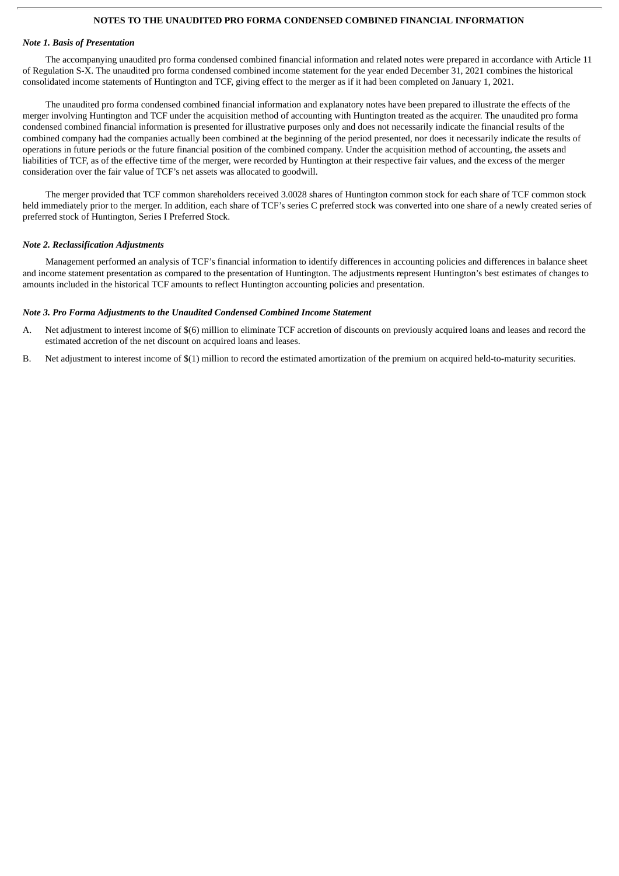## **NOTES TO THE UNAUDITED PRO FORMA CONDENSED COMBINED FINANCIAL INFORMATION**

#### *Note 1. Basis of Presentation*

The accompanying unaudited pro forma condensed combined financial information and related notes were prepared in accordance with Article 11 of Regulation S-X. The unaudited pro forma condensed combined income statement for the year ended December 31, 2021 combines the historical consolidated income statements of Huntington and TCF, giving effect to the merger as if it had been completed on January 1, 2021.

The unaudited pro forma condensed combined financial information and explanatory notes have been prepared to illustrate the effects of the merger involving Huntington and TCF under the acquisition method of accounting with Huntington treated as the acquirer. The unaudited pro forma condensed combined financial information is presented for illustrative purposes only and does not necessarily indicate the financial results of the combined company had the companies actually been combined at the beginning of the period presented, nor does it necessarily indicate the results of operations in future periods or the future financial position of the combined company. Under the acquisition method of accounting, the assets and liabilities of TCF, as of the effective time of the merger, were recorded by Huntington at their respective fair values, and the excess of the merger consideration over the fair value of TCF's net assets was allocated to goodwill.

The merger provided that TCF common shareholders received 3.0028 shares of Huntington common stock for each share of TCF common stock held immediately prior to the merger. In addition, each share of TCF's series C preferred stock was converted into one share of a newly created series of preferred stock of Huntington, Series I Preferred Stock.

## *Note 2. Reclassification Adjustments*

Management performed an analysis of TCF's financial information to identify differences in accounting policies and differences in balance sheet and income statement presentation as compared to the presentation of Huntington. The adjustments represent Huntington's best estimates of changes to amounts included in the historical TCF amounts to reflect Huntington accounting policies and presentation.

## *Note 3. Pro Forma Adjustments to the Unaudited Condensed Combined Income Statement*

- A. Net adjustment to interest income of \$(6) million to eliminate TCF accretion of discounts on previously acquired loans and leases and record the estimated accretion of the net discount on acquired loans and leases.
- B. Net adjustment to interest income of \$(1) million to record the estimated amortization of the premium on acquired held-to-maturity securities.